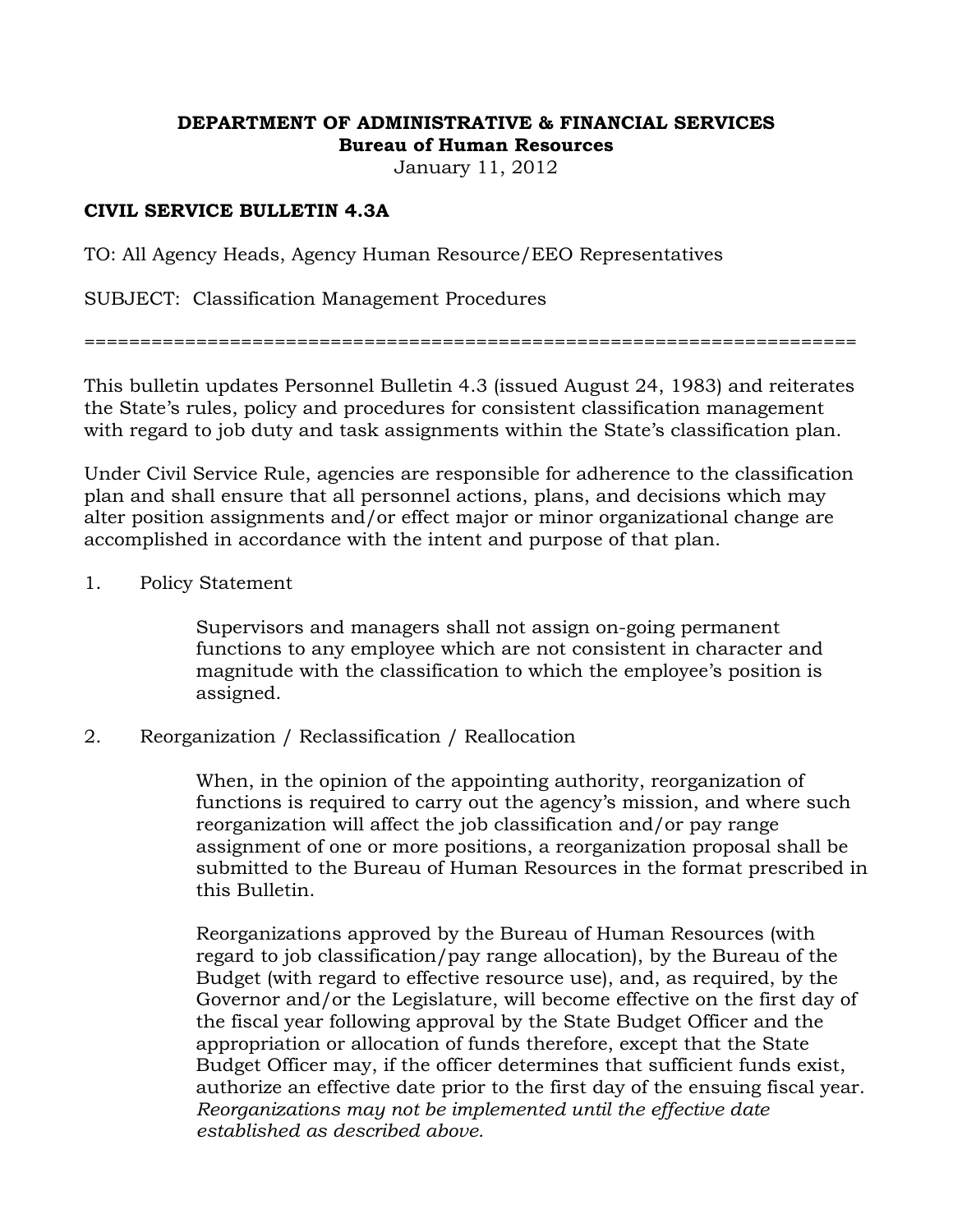#### **DEPARTMENT OF ADMINISTRATIVE & FINANCIAL SERVICES Bureau of Human Resources**

January 11, 2012

## **CIVIL SERVICE BULLETIN 4.3A**

TO: All Agency Heads, Agency Human Resource/EEO Representatives

SUBJECT: Classification Management Procedures

=====================================================================

This bulletin updates Personnel Bulletin 4.3 (issued August 24, 1983) and reiterates the State's rules, policy and procedures for consistent classification management with regard to job duty and task assignments within the State's classification plan.

Under Civil Service Rule, agencies are responsible for adherence to the classification plan and shall ensure that all personnel actions, plans, and decisions which may alter position assignments and/or effect major or minor organizational change are accomplished in accordance with the intent and purpose of that plan.

#### 1. Policy Statement

 Supervisors and managers shall not assign on-going permanent functions to any employee which are not consistent in character and magnitude with the classification to which the employee's position is assigned.

2. Reorganization / Reclassification / Reallocation

 When, in the opinion of the appointing authority, reorganization of functions is required to carry out the agency's mission, and where such reorganization will affect the job classification and/or pay range assignment of one or more positions, a reorganization proposal shall be submitted to the Bureau of Human Resources in the format prescribed in this Bulletin.

 Reorganizations approved by the Bureau of Human Resources (with regard to job classification/pay range allocation), by the Bureau of the Budget (with regard to effective resource use), and, as required, by the Governor and/or the Legislature, will become effective on the first day of the fiscal year following approval by the State Budget Officer and the appropriation or allocation of funds therefore, except that the State Budget Officer may, if the officer determines that sufficient funds exist, authorize an effective date prior to the first day of the ensuing fiscal year. *Reorganizations may not be implemented until the effective date established as described above.*